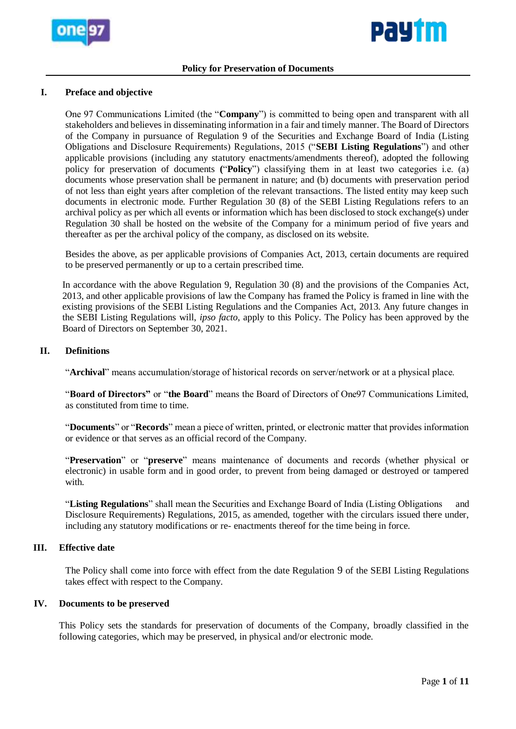



### **Policy for Preservation of Documents**

### **I. Preface and objective**

One 97 Communications Limited (the "**Company**") is committed to being open and transparent with all stakeholders and believes in disseminating information in a fair and timely manner. The Board of Directors of the Company in pursuance of Regulation 9 of the Securities and Exchange Board of India (Listing Obligations and Disclosure Requirements) Regulations, 2015 ("**SEBI Listing Regulations**") and other applicable provisions (including any statutory enactments/amendments thereof), adopted the following policy for preservation of documents **(**"**Policy**") classifying them in at least two categories i.e. (a) documents whose preservation shall be permanent in nature; and (b) documents with preservation period of not less than eight years after completion of the relevant transactions. The listed entity may keep such documents in electronic mode. Further Regulation 30 (8) of the SEBI Listing Regulations refers to an archival policy as per which all events or information which has been disclosed to stock exchange(s) under Regulation 30 shall be hosted on the website of the Company for a minimum period of five years and thereafter as per the archival policy of the company, as disclosed on its website.

Besides the above, as per applicable provisions of Companies Act, 2013, certain documents are required to be preserved permanently or up to a certain prescribed time.

In accordance with the above Regulation 9, Regulation 30 (8) and the provisions of the Companies Act, 2013, and other applicable provisions of law the Company has framed the Policy is framed in line with the existing provisions of the SEBI Listing Regulations and the Companies Act, 2013. Any future changes in the SEBI Listing Regulations will, *ipso facto*, apply to this Policy. The Policy has been approved by the Board of Directors on September 30, 2021.

### **II. Definitions**

"**Archival**" means accumulation/storage of historical records on server/network or at a physical place.

"**Board of Directors"** or "**the Board**" means the Board of Directors of One97 Communications Limited, as constituted from time to time.

"**Documents**" or "**Records**" mean a piece of written, printed, or electronic matter that provides information or evidence or that serves as an official record of the Company.

"**Preservation**" or "**preserve**" means maintenance of documents and records (whether physical or electronic) in usable form and in good order, to prevent from being damaged or destroyed or tampered with.

"**Listing Regulations**" shall mean the Securities and Exchange Board of India (Listing Obligations and Disclosure Requirements) Regulations, 2015, as amended, together with the circulars issued there under, including any statutory modifications or re- enactments thereof for the time being in force.

# **III. Effective date**

The Policy shall come into force with effect from the date Regulation 9 of the SEBI Listing Regulations takes effect with respect to the Company.

#### **IV. Documents to be preserved**

This Policy sets the standards for preservation of documents of the Company, broadly classified in the following categories, which may be preserved, in physical and/or electronic mode.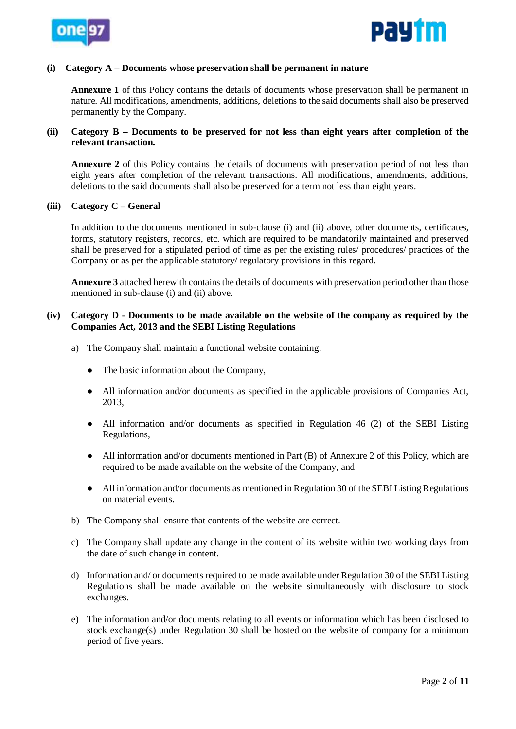



#### **(i) Category A – Documents whose preservation shall be permanent in nature**

**Annexure 1** of this Policy contains the details of documents whose preservation shall be permanent in nature. All modifications, amendments, additions, deletions to the said documents shall also be preserved permanently by the Company.

### **(ii) Category B – Documents to be preserved for not less than eight years after completion of the relevant transaction.**

**Annexure 2** of this Policy contains the details of documents with preservation period of not less than eight years after completion of the relevant transactions. All modifications, amendments, additions, deletions to the said documents shall also be preserved for a term not less than eight years.

### **(iii) Category C – General**

In addition to the documents mentioned in sub-clause (i) and (ii) above, other documents, certificates, forms, statutory registers, records, etc. which are required to be mandatorily maintained and preserved shall be preserved for a stipulated period of time as per the existing rules/ procedures/ practices of the Company or as per the applicable statutory/ regulatory provisions in this regard.

**Annexure 3** attached herewith contains the details of documents with preservation period other than those mentioned in sub-clause (i) and (ii) above.

### **(iv) Category D - Documents to be made available on the website of the company as required by the Companies Act, 2013 and the SEBI Listing Regulations**

- a) The Company shall maintain a functional website containing:
	- The basic information about the Company,
	- All information and/or documents as specified in the applicable provisions of Companies Act, 2013,
	- All information and/or documents as specified in Regulation 46 (2) of the SEBI Listing Regulations,
	- All information and/or documents mentioned in Part (B) of Annexure 2 of this Policy, which are required to be made available on the website of the Company, and
	- All information and/or documents as mentioned in Regulation 30 of the SEBI Listing Regulations on material events.
- b) The Company shall ensure that contents of the website are correct.
- c) The Company shall update any change in the content of its website within two working days from the date of such change in content.
- d) Information and/ or documents required to be made available under Regulation 30 of the SEBI Listing Regulations shall be made available on the website simultaneously with disclosure to stock exchanges.
- e) The information and/or documents relating to all events or information which has been disclosed to stock exchange(s) under Regulation 30 shall be hosted on the website of company for a minimum period of five years.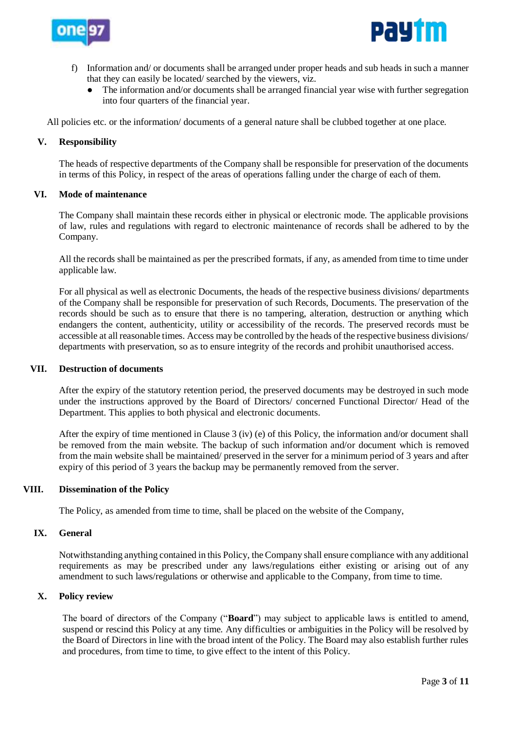



- f) Information and/ or documents shall be arranged under proper heads and sub heads in such a manner that they can easily be located/ searched by the viewers, viz.
	- The information and/or documents shall be arranged financial year wise with further segregation into four quarters of the financial year.

All policies etc. or the information/ documents of a general nature shall be clubbed together at one place.

### **V. Responsibility**

The heads of respective departments of the Company shall be responsible for preservation of the documents in terms of this Policy, in respect of the areas of operations falling under the charge of each of them.

#### **VI. Mode of maintenance**

The Company shall maintain these records either in physical or electronic mode. The applicable provisions of law, rules and regulations with regard to electronic maintenance of records shall be adhered to by the Company.

All the records shall be maintained as per the prescribed formats, if any, as amended from time to time under applicable law.

For all physical as well as electronic Documents, the heads of the respective business divisions/ departments of the Company shall be responsible for preservation of such Records, Documents. The preservation of the records should be such as to ensure that there is no tampering, alteration, destruction or anything which endangers the content, authenticity, utility or accessibility of the records. The preserved records must be accessible at all reasonable times. Access may be controlled by the heads of the respective business divisions/ departments with preservation, so as to ensure integrity of the records and prohibit unauthorised access.

#### **VII. Destruction of documents**

After the expiry of the statutory retention period, the preserved documents may be destroyed in such mode under the instructions approved by the Board of Directors/ concerned Functional Director/ Head of the Department. This applies to both physical and electronic documents.

After the expiry of time mentioned in Clause 3 (iv) (e) of this Policy, the information and/or document shall be removed from the main website. The backup of such information and/or document which is removed from the main website shall be maintained/ preserved in the server for a minimum period of 3 years and after expiry of this period of 3 years the backup may be permanently removed from the server.

#### **VIII. Dissemination of the Policy**

The Policy, as amended from time to time, shall be placed on the website of the Company,

#### **IX. General**

Notwithstanding anything contained in this Policy, the Company shall ensure compliance with any additional requirements as may be prescribed under any laws/regulations either existing or arising out of any amendment to such laws/regulations or otherwise and applicable to the Company, from time to time.

#### **X. Policy review**

The board of directors of the Company ("**Board**") may subject to applicable laws is entitled to amend, suspend or rescind this Policy at any time. Any difficulties or ambiguities in the Policy will be resolved by the Board of Directors in line with the broad intent of the Policy. The Board may also establish further rules and procedures, from time to time, to give effect to the intent of this Policy.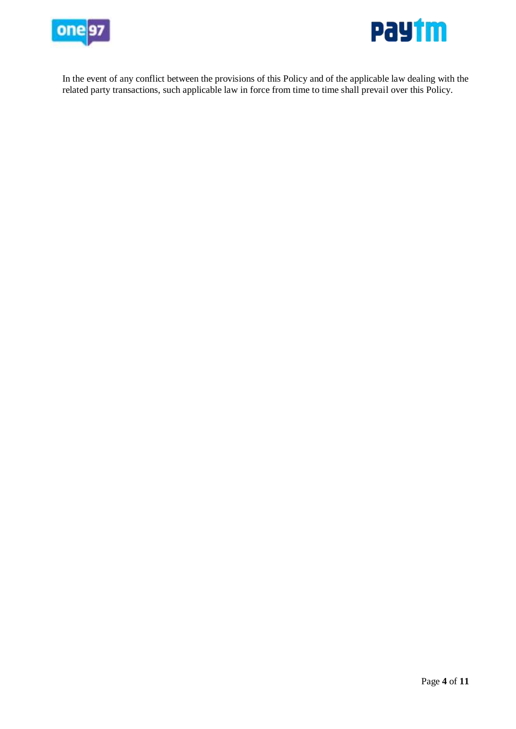



In the event of any conflict between the provisions of this Policy and of the applicable law dealing with the related party transactions, such applicable law in force from time to time shall prevail over this Policy.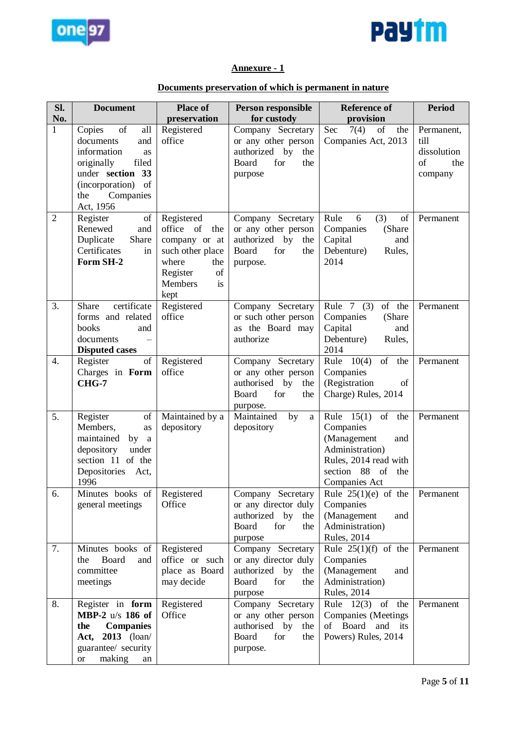



# **Annexure - 1**

# **Documents preservation of which is permanent in nature**

| Sl.<br>No.       | <b>Document</b>                                                                                                     | <b>Place of</b>                   | Person responsible<br>for custody           | <b>Reference of</b>                        | <b>Period</b>       |
|------------------|---------------------------------------------------------------------------------------------------------------------|-----------------------------------|---------------------------------------------|--------------------------------------------|---------------------|
| $\mathbf{1}$     | $% \left( \left( \mathcal{A},\mathcal{A}\right) \right) =\left( \mathcal{A},\mathcal{A}\right)$ of<br>Copies<br>all | preservation<br>Registered        | Company Secretary                           | provision<br>Sec<br>7(4)<br>of<br>the      | Permanent,          |
|                  | documents<br>and<br>information<br>as                                                                               | office                            | or any other person<br>authorized by<br>the | Companies Act, 2013                        | till<br>dissolution |
|                  | filed<br>originally                                                                                                 |                                   | Board<br>for<br>the                         |                                            | of<br>the           |
|                  | under section<br>33                                                                                                 |                                   | purpose                                     |                                            | company             |
|                  | (incorporation)<br>of<br>Companies<br>the                                                                           |                                   |                                             |                                            |                     |
|                  | Act, 1956                                                                                                           |                                   |                                             |                                            |                     |
| $\overline{2}$   | Register<br>of                                                                                                      | Registered                        | Company Secretary                           | 6<br>(3)<br>Rule<br>of                     | Permanent           |
|                  | Renewed<br>and<br>Share                                                                                             | office of<br>the                  | or any other person<br>authorized by        | Companies<br>(Share                        |                     |
|                  | Duplicate<br>Certificates<br>in                                                                                     | company or at<br>such other place | the<br>Board<br>for<br>the                  | Capital<br>and<br>Debenture)<br>Rules,     |                     |
|                  | Form SH-2                                                                                                           | where<br>the                      | purpose.                                    | 2014                                       |                     |
|                  |                                                                                                                     | of<br>Register                    |                                             |                                            |                     |
|                  |                                                                                                                     | <b>Members</b><br>is              |                                             |                                            |                     |
| 3.               | certificate<br>Share                                                                                                | kept<br>Registered                | Company Secretary                           | Rule $7(3)$<br>of the                      | Permanent           |
|                  | forms and related                                                                                                   | office                            | or such other person                        | Companies<br>(Share                        |                     |
|                  | books<br>and                                                                                                        |                                   | as the Board may                            | Capital<br>and                             |                     |
|                  | documents<br><b>Disputed cases</b>                                                                                  |                                   | authorize                                   | Debenture)<br>Rules,<br>2014               |                     |
| $\overline{4}$ . | Register<br>of                                                                                                      | Registered                        | Company Secretary                           | of<br>Rule $10(4)$<br>the                  | Permanent           |
|                  | Charges in Form                                                                                                     | office                            | or any other person                         | Companies                                  |                     |
|                  | <b>CHG-7</b>                                                                                                        |                                   | authorised by<br>the                        | (Registration<br>of                        |                     |
|                  |                                                                                                                     |                                   | Board<br>for<br>the<br>purpose.             | Charge) Rules, 2014                        |                     |
| 5.               | Register<br>of                                                                                                      | Maintained by a                   | Maintained<br>by<br>$\rm{a}$                | Rule $15(1)$<br>of the                     | Permanent           |
|                  | Members,<br>as                                                                                                      | depository                        | depository                                  | Companies                                  |                     |
|                  | maintained<br>by a<br>depository<br>under                                                                           |                                   |                                             | (Management<br>and<br>Administration)      |                     |
|                  | section 11 of the                                                                                                   |                                   |                                             | Rules, 2014 read with                      |                     |
|                  | Depositories<br>Act,                                                                                                |                                   |                                             | section 88<br><sub>of</sub><br>the         |                     |
|                  | 1996                                                                                                                |                                   |                                             | Companies Act                              |                     |
| 6.               | Minutes books of<br>general meetings                                                                                | Registered<br>Office              | Company Secretary<br>or any director duly   | Rule $25(1)(e)$ of the<br>Companies        | Permanent           |
|                  |                                                                                                                     |                                   | authorized by<br>the                        | (Management<br>and                         |                     |
|                  |                                                                                                                     |                                   | Board<br>for<br>the                         | Administration)                            |                     |
|                  |                                                                                                                     |                                   | purpose                                     | <b>Rules</b> , 2014                        |                     |
| 7.               | Minutes books of<br>Board<br>and<br>the                                                                             | Registered<br>office or such      | Company Secretary<br>or any director duly   | Rule $25(1)(f)$ of the<br>Companies        | Permanent           |
|                  | committee                                                                                                           | place as Board                    | authorized by<br>the                        | (Management<br>and                         |                     |
|                  | meetings                                                                                                            | may decide                        | Board<br>for<br>the                         | Administration)                            |                     |
|                  |                                                                                                                     |                                   | purpose                                     | <b>Rules</b> , 2014                        |                     |
| 8.               | Register in form<br><b>MBP-2</b> u/s 186 of                                                                         | Registered<br>Office              | Company Secretary<br>or any other person    | Rule $12(3)$ of the<br>Companies (Meetings | Permanent           |
|                  | <b>Companies</b><br>the                                                                                             |                                   | authorised by<br>the                        | Board<br>and its<br>of                     |                     |
|                  | Act, 2013 (loan/                                                                                                    |                                   | Board<br>for<br>the                         | Powers) Rules, 2014                        |                     |
|                  | guarantee/ security                                                                                                 |                                   | purpose.                                    |                                            |                     |
|                  | making<br><b>or</b><br>an                                                                                           |                                   |                                             |                                            |                     |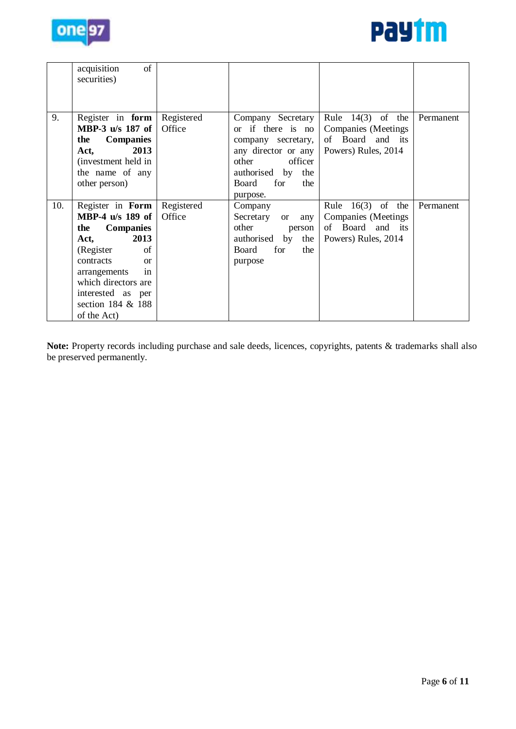



|     | acquisition<br>of<br>securities)                                                                                                                                                                                                        |                      |                                                                                                                                                                    |                                                                                                 |           |
|-----|-----------------------------------------------------------------------------------------------------------------------------------------------------------------------------------------------------------------------------------------|----------------------|--------------------------------------------------------------------------------------------------------------------------------------------------------------------|-------------------------------------------------------------------------------------------------|-----------|
| 9.  | Register in form<br>MBP-3 u/s 187 of<br><b>Companies</b><br>the<br>2013<br>Act,<br>(investment held in<br>the name of any<br>other person)                                                                                              | Registered<br>Office | Company Secretary<br>or if there is no<br>company secretary,<br>any director or any<br>officer<br>other<br>authorised by<br>the<br>for<br>Board<br>the<br>purpose. | Rule $14(3)$ of the<br><b>Companies</b> (Meetings<br>of Board<br>and its<br>Powers) Rules, 2014 | Permanent |
| 10. | Register in Form<br>MBP-4 u/s 189 of<br><b>Companies</b><br>the<br>2013<br>Act,<br>(Register)<br>of<br>contracts<br><sub>or</sub><br>in<br>arrangements<br>which directors are<br>interested as per<br>section 184 & 188<br>of the Act) | Registered<br>Office | Company<br>Secretary<br>any<br><b>or</b><br>other<br>person<br>authorised by<br>the<br>Board<br>for<br>the<br>purpose                                              | Rule $16(3)$ of the<br>Companies (Meetings)<br>of Board and its<br>Powers) Rules, 2014          | Permanent |

**Note:** Property records including purchase and sale deeds, licences, copyrights, patents & trademarks shall also be preserved permanently.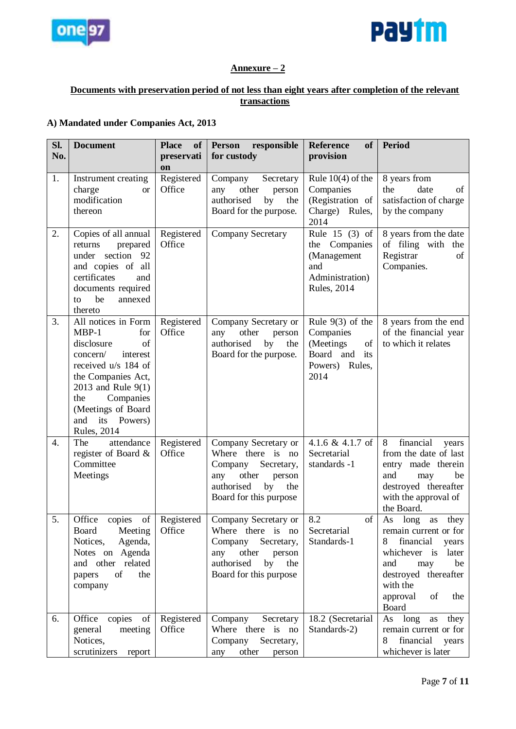



# **Annexure – 2**

# **Documents with preservation period of not less than eight years after completion of the relevant transactions**

## **A) Mandated under Companies Act, 2013**

| Sl. | <b>Document</b>                                                                                                                                                                                                                                | <b>Place</b><br>of   | <b>Person</b><br>responsible                                                                                                                      | <b>Reference</b><br><b>of</b>                                                                        | Period                                                                                                                                                                                             |
|-----|------------------------------------------------------------------------------------------------------------------------------------------------------------------------------------------------------------------------------------------------|----------------------|---------------------------------------------------------------------------------------------------------------------------------------------------|------------------------------------------------------------------------------------------------------|----------------------------------------------------------------------------------------------------------------------------------------------------------------------------------------------------|
| No. |                                                                                                                                                                                                                                                | preservati<br>on     | for custody                                                                                                                                       | provision                                                                                            |                                                                                                                                                                                                    |
| 1.  | Instrument creating<br>charge<br><sub>or</sub><br>modification<br>thereon                                                                                                                                                                      | Registered<br>Office | Company<br>Secretary<br>other<br>any<br>person<br>authorised<br>by<br>the<br>Board for the purpose.                                               | Rule $10(4)$ of the<br>Companies<br>(Registration of<br>Charge) Rules,<br>2014                       | 8 years from<br>the<br>date<br>of<br>satisfaction of charge<br>by the company                                                                                                                      |
| 2.  | Copies of all annual<br>prepared<br>returns<br>under section<br>92<br>and copies of all<br>certificates<br>and<br>documents required<br>be<br>annexed<br>to<br>thereto                                                                         | Registered<br>Office | <b>Company Secretary</b>                                                                                                                          | Rule 15 $(3)$ of<br>Companies<br>the<br>(Management<br>and<br>Administration)<br><b>Rules</b> , 2014 | 8 years from the date<br>of filing with<br>the<br>Registrar<br>of<br>Companies.                                                                                                                    |
| 3.  | All notices in Form<br>$MBP-1$<br>for<br>of<br>disclosure<br>concern/<br>interest<br>received u/s 184 of<br>the Companies Act,<br>2013 and Rule 9(1)<br>the<br>Companies<br>(Meetings of Board<br>Powers)<br>and<br>its<br><b>Rules</b> , 2014 | Registered<br>Office | Company Secretary or<br>other<br>any<br>person<br>authorised<br>by<br>the<br>Board for the purpose.                                               | Rule $9(3)$ of the<br>Companies<br>(Meetings<br>of<br>Board and<br>its<br>Powers)<br>Rules,<br>2014  | 8 years from the end<br>of the financial year<br>to which it relates                                                                                                                               |
| 4.  | attendance<br>The<br>register of Board &<br>Committee<br>Meetings                                                                                                                                                                              | Registered<br>Office | Company Secretary or<br>Where there is no<br>Company<br>Secretary,<br>other<br>any<br>person<br>authorised<br>by<br>the<br>Board for this purpose | 4.1.6 & 4.1.7 of<br>Secretarial<br>standards -1                                                      | financial<br>8<br>years<br>from the date of last<br>entry made therein<br>and<br>be<br>may<br>destroyed thereafter<br>with the approval of<br>the Board.                                           |
| 5.  | of<br>Office<br>copies<br>Board<br>Meeting<br>Notices,<br>Agenda,<br>Notes on Agenda<br>and other related<br>of<br>papers<br>the<br>company                                                                                                    | Registered<br>Office | Company Secretary or<br>Where there is no<br>Company<br>Secretary,<br>other<br>any<br>person<br>authorised<br>by<br>the<br>Board for this purpose | 8.2<br>of<br>Secretarial<br>Standards-1                                                              | As<br>long<br>$\rm as$<br>they<br>remain current or for<br>financial<br>8<br>years<br>whichever is later<br>and<br>be<br>may<br>destroyed thereafter<br>with the<br>of<br>approval<br>the<br>Board |
| 6.  | Office<br>copies<br>of<br>general<br>meeting<br>Notices,<br>scrutinizers<br>report                                                                                                                                                             | Registered<br>Office | Company<br>Secretary<br>Where there is no<br>Company<br>Secretary,<br>other<br>any<br>person                                                      | 18.2 (Secretarial<br>Standards-2)                                                                    | long<br>As<br>they<br>as<br>remain current or for<br>financial<br>8<br>years<br>whichever is later                                                                                                 |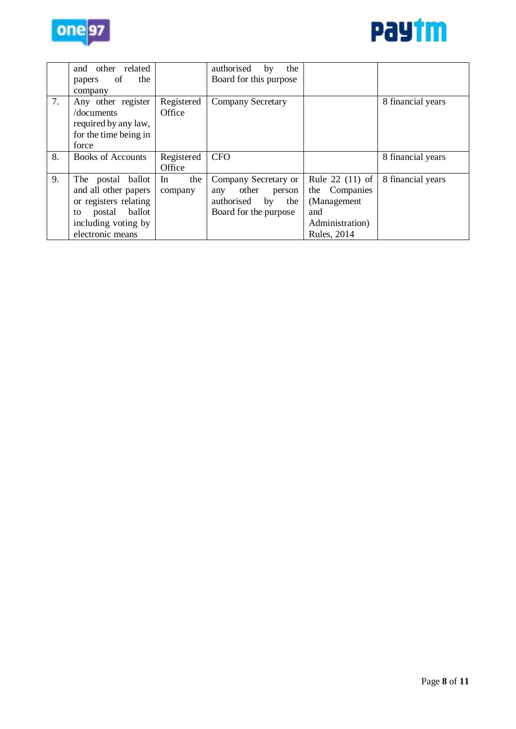



|    | other related<br>and<br>the<br>of<br>papers<br>company                                                                                  |                      | authorised<br>the<br>by<br>Board for this purpose                                                  |                                                                                                  |                   |
|----|-----------------------------------------------------------------------------------------------------------------------------------------|----------------------|----------------------------------------------------------------------------------------------------|--------------------------------------------------------------------------------------------------|-------------------|
| 7. | Any other register<br>/documents<br>required by any law,<br>for the time being in<br>force                                              | Registered<br>Office | <b>Company Secretary</b>                                                                           |                                                                                                  | 8 financial years |
| 8. | <b>Books of Accounts</b>                                                                                                                | Registered<br>Office | <b>CFO</b>                                                                                         |                                                                                                  | 8 financial years |
| 9. | The postal ballot<br>and all other papers<br>or registers relating<br>ballot<br>postal<br>to<br>including voting by<br>electronic means | In<br>the<br>company | Company Secretary or<br>other<br>person<br>any<br>authorised<br>by<br>the<br>Board for the purpose | Rule 22 (11) of<br>the Companies<br>(Management<br>and<br>Administration)<br><b>Rules</b> , 2014 | 8 financial years |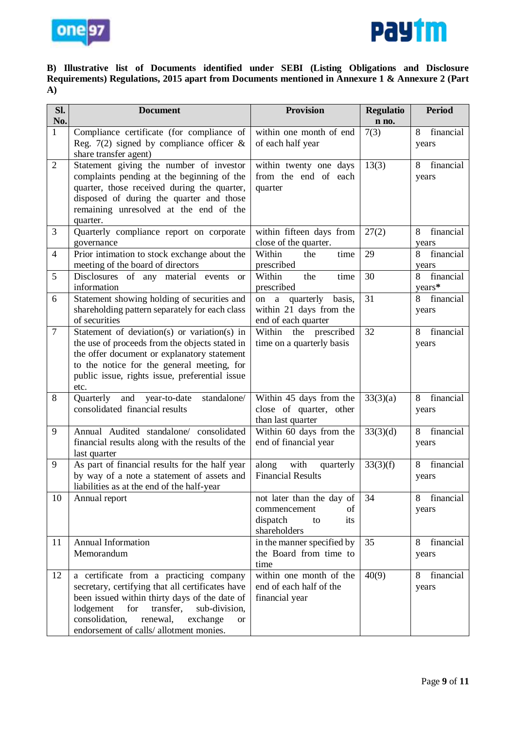



## **B) Illustrative list of Documents identified under SEBI (Listing Obligations and Disclosure Requirements) Regulations, 2015 apart from Documents mentioned in Annexure 1 & Annexure 2 (Part A)**

| SI.              | <b>Document</b>                                                                                 | <b>Provision</b>                             | <b>Regulatio</b> | <b>Period</b>  |
|------------------|-------------------------------------------------------------------------------------------------|----------------------------------------------|------------------|----------------|
| No.              |                                                                                                 |                                              | n no.            |                |
| $\mathbf{1}$     | Compliance certificate (for compliance of                                                       | within one month of end                      | 7(3)             | financial<br>8 |
|                  | Reg. 7(2) signed by compliance officer $\&$                                                     | of each half year                            |                  | years          |
|                  | share transfer agent)                                                                           |                                              |                  |                |
| $\overline{2}$   | Statement giving the number of investor                                                         | within twenty one days                       | 13(3)            | financial<br>8 |
|                  | complaints pending at the beginning of the                                                      | from the end of each                         |                  | years          |
|                  | quarter, those received during the quarter,                                                     | quarter                                      |                  |                |
|                  | disposed of during the quarter and those                                                        |                                              |                  |                |
|                  | remaining unresolved at the end of the<br>quarter.                                              |                                              |                  |                |
| 3                | Quarterly compliance report on corporate                                                        | within fifteen days from                     | 27(2)            | financial<br>8 |
|                  | governance                                                                                      | close of the quarter.                        |                  | years          |
| $\overline{4}$   | Prior intimation to stock exchange about the                                                    | Within<br>the<br>time                        | 29               | financial<br>8 |
|                  | meeting of the board of directors                                                               | prescribed                                   |                  | years          |
| 5                | Disclosures of any material events<br><sub>or</sub>                                             | Within<br>the<br>time                        | 30               | financial<br>8 |
|                  | information                                                                                     | prescribed                                   |                  | years*         |
| 6                | Statement showing holding of securities and                                                     | on a quarterly<br>basis,                     | 31               | financial<br>8 |
|                  | shareholding pattern separately for each class                                                  | within 21 days from the                      |                  | years          |
|                  | of securities                                                                                   | end of each quarter                          |                  |                |
| $\boldsymbol{7}$ | Statement of deviation(s) or variation(s) in                                                    | Within the prescribed                        | 32               | financial<br>8 |
|                  | the use of proceeds from the objects stated in                                                  | time on a quarterly basis                    |                  | years          |
|                  | the offer document or explanatory statement                                                     |                                              |                  |                |
|                  | to the notice for the general meeting, for                                                      |                                              |                  |                |
|                  | public issue, rights issue, preferential issue                                                  |                                              |                  |                |
|                  | etc.                                                                                            |                                              |                  |                |
| 8                | Quarterly<br>standalone/<br>year-to-date<br>and<br>consolidated financial results               | Within 45 days from the                      | 33(3)(a)         | 8<br>financial |
|                  |                                                                                                 | close of quarter, other<br>than last quarter |                  | years          |
| 9                | Annual Audited standalone/ consolidated                                                         | Within 60 days from the                      | 33(3)(d)         | financial<br>8 |
|                  | financial results along with the results of the                                                 | end of financial year                        |                  | years          |
|                  | last quarter                                                                                    |                                              |                  |                |
| 9                | As part of financial results for the half year                                                  | along with<br>quarterly                      | 33(3)(f)         | financial<br>8 |
|                  | by way of a note a statement of assets and                                                      | <b>Financial Results</b>                     |                  | years          |
|                  | liabilities as at the end of the half-year                                                      |                                              |                  |                |
| 10               | Annual report                                                                                   | not later than the day of                    | 34               | financial<br>8 |
|                  |                                                                                                 | commencement<br>of                           |                  | years          |
|                  |                                                                                                 | dispatch<br>its<br>to                        |                  |                |
|                  |                                                                                                 | shareholders                                 |                  |                |
| 11               | <b>Annual Information</b>                                                                       | in the manner specified by                   | 35               | financial<br>8 |
|                  | Memorandum                                                                                      | the Board from time to                       |                  | years          |
|                  |                                                                                                 | time                                         |                  |                |
| 12               | a certificate from a practicing company                                                         | within one month of the                      | 40(9)            | 8<br>financial |
|                  | secretary, certifying that all certificates have                                                | end of each half of the                      |                  | years          |
|                  | been issued within thirty days of the date of<br>lodgement<br>for<br>transfer,<br>sub-division, | financial year                               |                  |                |
|                  | consolidation,<br>renewal,<br>exchange<br><b>or</b>                                             |                                              |                  |                |
|                  | endorsement of calls/ allotment monies.                                                         |                                              |                  |                |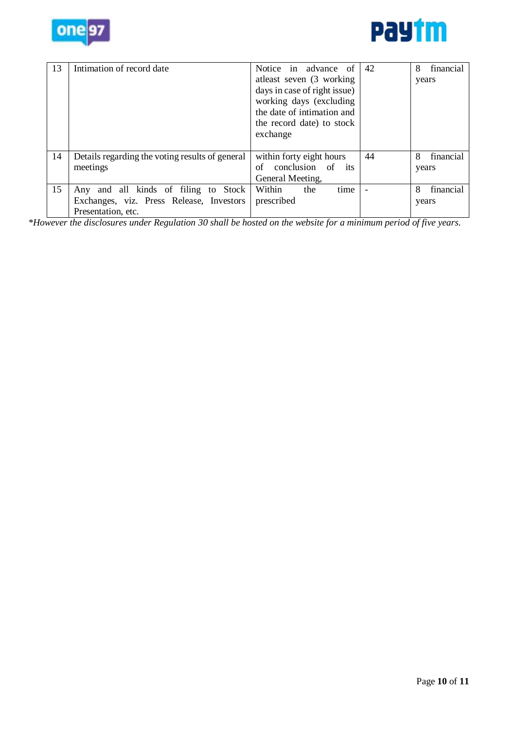



| 13 | Intimation of record date                                                                              | Notice in advance of<br>atleast seven (3 working)<br>days in case of right issue)<br>working days (excluding<br>the date of intimation and<br>the record date) to stock<br>exchange | 42 | 8<br>financial<br>years |
|----|--------------------------------------------------------------------------------------------------------|-------------------------------------------------------------------------------------------------------------------------------------------------------------------------------------|----|-------------------------|
| 14 | Details regarding the voting results of general<br>meetings                                            | within forty eight hours<br>conclusion of<br>its<br>of<br>General Meeting,                                                                                                          | 44 | 8<br>financial<br>years |
| 15 | Any and all kinds of filing to Stock<br>Exchanges, viz. Press Release, Investors<br>Presentation, etc. | time<br>Within<br>the<br>prescribed                                                                                                                                                 |    | 8<br>financial<br>years |

*\*However the disclosures under Regulation 30 shall be hosted on the website for a minimum period of five years.*